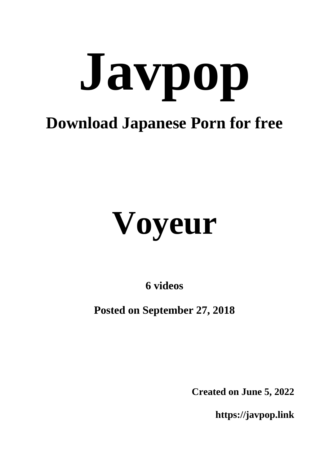



**6 videos**

**Posted on September 27, 2018**

**Created on June 5, 2022**

**<https://javpop.link>**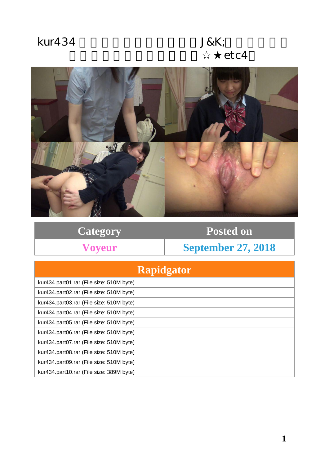### kur434 J&K;

# etc4



# **Category Posted on**

| <b>Rapidgator</b>                        |
|------------------------------------------|
| kur434.part01.rar (File size: 510M byte) |
| kur434.part02.rar (File size: 510M byte) |
| kur434.part03.rar (File size: 510M byte) |
| kur434.part04.rar (File size: 510M byte) |
| kur434.part05.rar (File size: 510M byte) |
| kur434.part06.rar (File size: 510M byte) |
| kur434.part07.rar (File size: 510M byte) |
| kur434.part08.rar (File size: 510M byte) |
| kur434.part09.rar (File size: 510M byte) |
| kur434.part10.rar (File size: 389M byte) |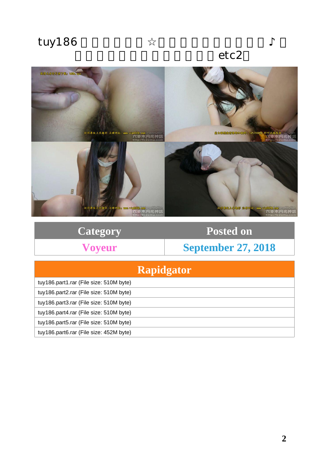### tuy186

### etc2



# **Category Posted on**

| Rapidgator                              |
|-----------------------------------------|
| tuy186.part1.rar (File size: 510M byte) |
| tuy186.part2.rar (File size: 510M byte) |
| tuy186.part3.rar (File size: 510M byte) |
| tuy186.part4.rar (File size: 510M byte) |
| tuy186.part5.rar (File size: 510M byte) |
| tuy186.part6.rar (File size: 452M byte) |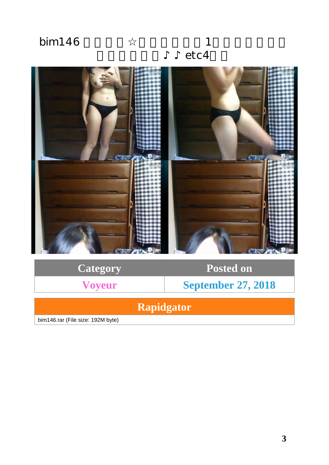### bim146 1

# etc4



# **Rapidgator**

[bim146.rar](https://rapidgator.net/file/d3239b042878dc715a9dcb5d4f316109/bim146.rar.html) (File size: 192M byte)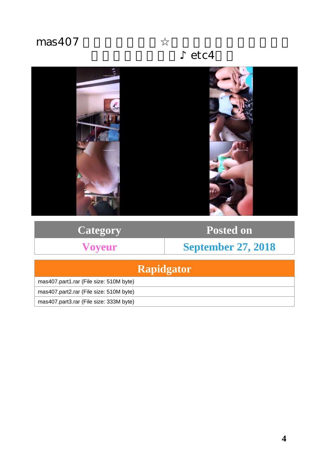### mas407

etc4



# **Category Posted on**

| <b>Rapidgator</b>                       |  |
|-----------------------------------------|--|
| mas407.part1.rar (File size: 510M byte) |  |
| mas407.part2.rar (File size: 510M byte) |  |
| mas407.part3.rar (File size: 333M byte) |  |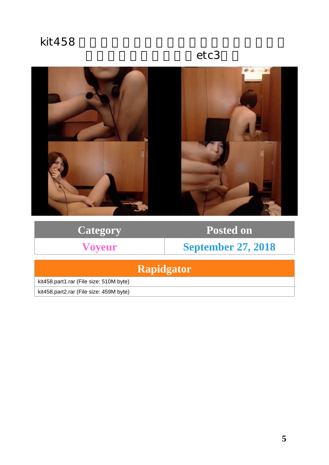### kit458

# etc3



# **Category Posted on**

# **[Voyeur](https://javpop.link/category/voyeur) [September 27, 2018](https://javpop.link/2018/09/27)**

# **Rapidgator**

[kit458.part1.rar](https://rapidgator.net/file/135009fff1353a544df2eb69c54f61d6/kit458.part1.rar.html) (File size: 510M byte)

[kit458.part2.rar](https://rapidgator.net/file/53d9bc6dcd820e2901f12baddb88cb88/kit458.part2.rar.html) (File size: 459M byte)